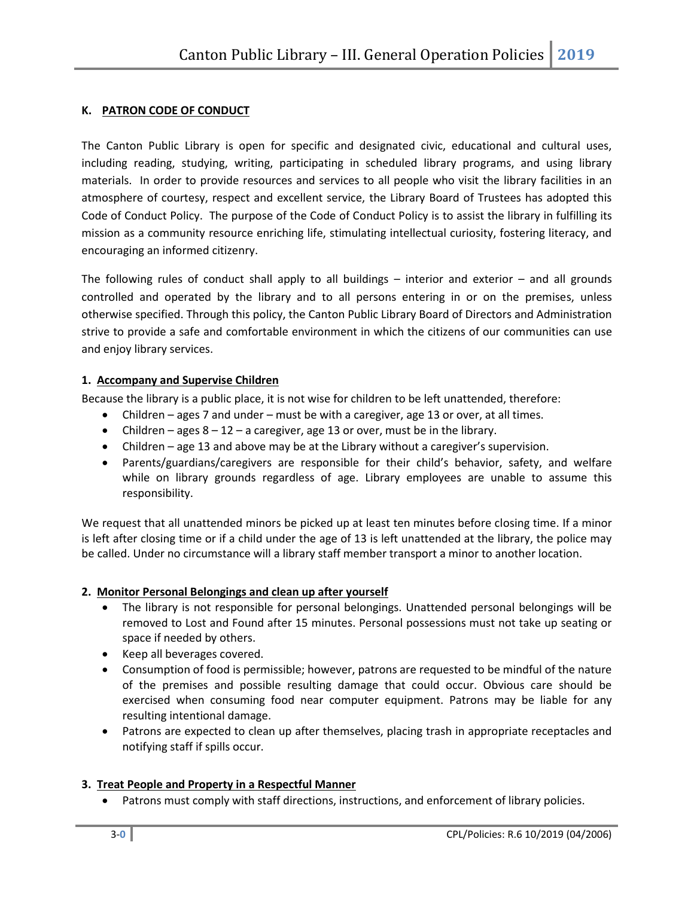### **K. PATRON CODE OF CONDUCT**

The Canton Public Library is open for specific and designated civic, educational and cultural uses, including reading, studying, writing, participating in scheduled library programs, and using library materials. In order to provide resources and services to all people who visit the library facilities in an atmosphere of courtesy, respect and excellent service, the Library Board of Trustees has adopted this Code of Conduct Policy. The purpose of the Code of Conduct Policy is to assist the library in fulfilling its mission as a community resource enriching life, stimulating intellectual curiosity, fostering literacy, and encouraging an informed citizenry.

The following rules of conduct shall apply to all buildings – interior and exterior – and all grounds controlled and operated by the library and to all persons entering in or on the premises, unless otherwise specified. Through this policy, the Canton Public Library Board of Directors and Administration strive to provide a safe and comfortable environment in which the citizens of our communities can use and enjoy library services.

### **1. Accompany and Supervise Children**

Because the library is a public place, it is not wise for children to be left unattended, therefore:

- Children ages 7 and under must be with a caregiver, age 13 or over, at all times.
- Children ages  $8 12 a$  caregiver, age 13 or over, must be in the library.
- Children age 13 and above may be at the Library without a caregiver's supervision.
- Parents/guardians/caregivers are responsible for their child's behavior, safety, and welfare while on library grounds regardless of age. Library employees are unable to assume this responsibility.

We request that all unattended minors be picked up at least ten minutes before closing time. If a minor is left after closing time or if a child under the age of 13 is left unattended at the library, the police may be called. Under no circumstance will a library staff member transport a minor to another location.

# **2. Monitor Personal Belongings and clean up after yourself**

- The library is not responsible for personal belongings. Unattended personal belongings will be removed to Lost and Found after 15 minutes. Personal possessions must not take up seating or space if needed by others.
- Keep all beverages covered.
- Consumption of food is permissible; however, patrons are requested to be mindful of the nature of the premises and possible resulting damage that could occur. Obvious care should be exercised when consuming food near computer equipment. Patrons may be liable for any resulting intentional damage.
- Patrons are expected to clean up after themselves, placing trash in appropriate receptacles and notifying staff if spills occur.

# **3. Treat People and Property in a Respectful Manner**

• Patrons must comply with staff directions, instructions, and enforcement of library policies.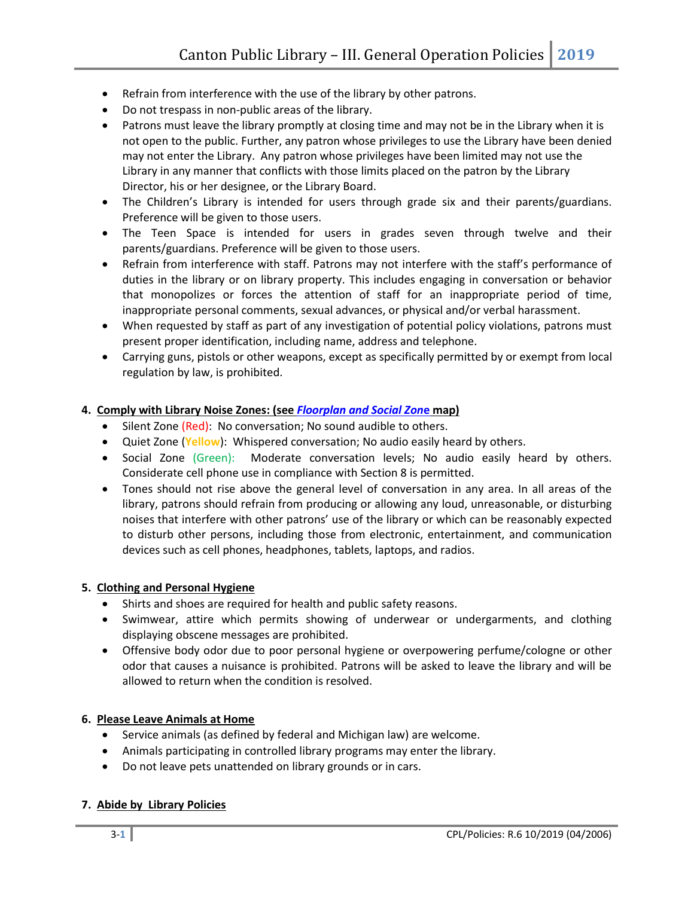- Refrain from interference with the use of the library by other patrons.
- Do not trespass in non-public areas of the library.
- Patrons must leave the library promptly at closing time and may not be in the Library when it is not open to the public. Further, any patron whose privileges to use the Library have been denied may not enter the Library. Any patron whose privileges have been limited may not use the Library in any manner that conflicts with those limits placed on the patron by the Library Director, his or her designee, or the Library Board.
- The Children's Library is intended for users through grade six and their parents/guardians. Preference will be given to those users.
- The Teen Space is intended for users in grades seven through twelve and their parents/guardians. Preference will be given to those users.
- Refrain from interference with staff. Patrons may not interfere with the staff's performance of duties in the library or on library property. This includes engaging in conversation or behavior that monopolizes or forces the attention of staff for an inappropriate period of time, inappropriate personal comments, sexual advances, or physical and/or verbal harassment.
- When requested by staff as part of any investigation of potential policy violations, patrons must present proper identification, including name, address and telephone.
- Carrying guns, pistols or other weapons, except as specifically permitted by or exempt from local regulation by law, is prohibited.

# **4. Comply with Library Noise Zones: (see** *[Floorplan and Social Zon](https://www.cantonpl.org/wp-content/uploads/sites/106/2021/07/201920-20Floorplan-SoundLevels-scaled.jpg)***e map)**

- Silent Zone (Red): No conversation; No sound audible to others.
- Quiet Zone (**Yellow**): Whispered conversation; No audio easily heard by others.
- Social Zone (Green): Moderate conversation levels; No audio easily heard by others. Considerate cell phone use in compliance with Section 8 is permitted.
- Tones should not rise above the general level of conversation in any area. In all areas of the library, patrons should refrain from producing or allowing any loud, unreasonable, or disturbing noises that interfere with other patrons' use of the library or which can be reasonably expected to disturb other persons, including those from electronic, entertainment, and communication devices such as cell phones, headphones, tablets, laptops, and radios.

#### **5. Clothing and Personal Hygiene**

- Shirts and shoes are required for health and public safety reasons.
- Swimwear, attire which permits showing of underwear or undergarments, and clothing displaying obscene messages are prohibited.
- Offensive body odor due to poor personal hygiene or overpowering perfume/cologne or other odor that causes a nuisance is prohibited. Patrons will be asked to leave the library and will be allowed to return when the condition is resolved.

# **6. Please Leave Animals at Home**

- Service animals (as defined by federal and Michigan law) are welcome.
- Animals participating in controlled library programs may enter the library.
- Do not leave pets unattended on library grounds or in cars.

#### **7. Abide by Library Policies**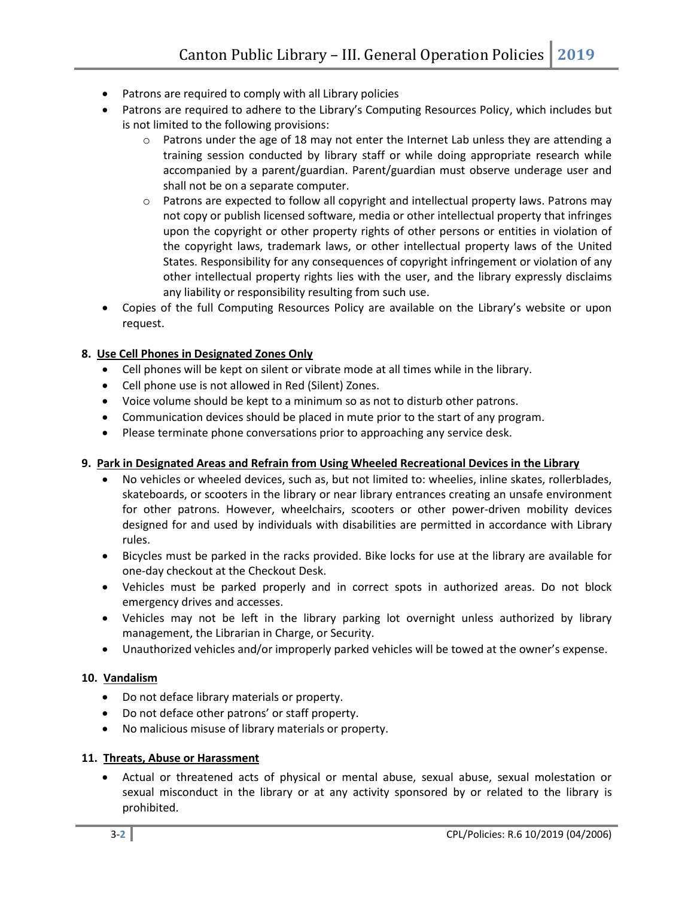- Patrons are required to comply with all Library policies
- Patrons are required to adhere to the Library's Computing Resources Policy, which includes but is not limited to the following provisions:
	- $\circ$  Patrons under the age of 18 may not enter the Internet Lab unless they are attending a training session conducted by library staff or while doing appropriate research while accompanied by a parent/guardian. Parent/guardian must observe underage user and shall not be on a separate computer.
	- $\circ$  Patrons are expected to follow all copyright and intellectual property laws. Patrons may not copy or publish licensed software, media or other intellectual property that infringes upon the copyright or other property rights of other persons or entities in violation of the copyright laws, trademark laws, or other intellectual property laws of the United States. Responsibility for any consequences of copyright infringement or violation of any other intellectual property rights lies with the user, and the library expressly disclaims any liability or responsibility resulting from such use.
- Copies of the full Computing Resources Policy are available on the Library's website or upon request.

# **8. Use Cell Phones in Designated Zones Only**

- Cell phones will be kept on silent or vibrate mode at all times while in the library.
- Cell phone use is not allowed in Red (Silent) Zones.
- Voice volume should be kept to a minimum so as not to disturb other patrons.
- Communication devices should be placed in mute prior to the start of any program.
- Please terminate phone conversations prior to approaching any service desk.

#### **9. Park in Designated Areas and Refrain from Using Wheeled Recreational Devices in the Library**

- No vehicles or wheeled devices, such as, but not limited to: wheelies, inline skates, rollerblades, skateboards, or scooters in the library or near library entrances creating an unsafe environment for other patrons. However, wheelchairs, scooters or other power-driven mobility devices designed for and used by individuals with disabilities are permitted in accordance with Library rules.
- Bicycles must be parked in the racks provided. Bike locks for use at the library are available for one-day checkout at the Checkout Desk.
- Vehicles must be parked properly and in correct spots in authorized areas. Do not block emergency drives and accesses.
- Vehicles may not be left in the library parking lot overnight unless authorized by library management, the Librarian in Charge, or Security.
- Unauthorized vehicles and/or improperly parked vehicles will be towed at the owner's expense.

#### **10. Vandalism**

- Do not deface library materials or property.
- Do not deface other patrons' or staff property.
- No malicious misuse of library materials or property.

#### **11. Threats, Abuse or Harassment**

• Actual or threatened acts of physical or mental abuse, sexual abuse, sexual molestation or sexual misconduct in the library or at any activity sponsored by or related to the library is prohibited.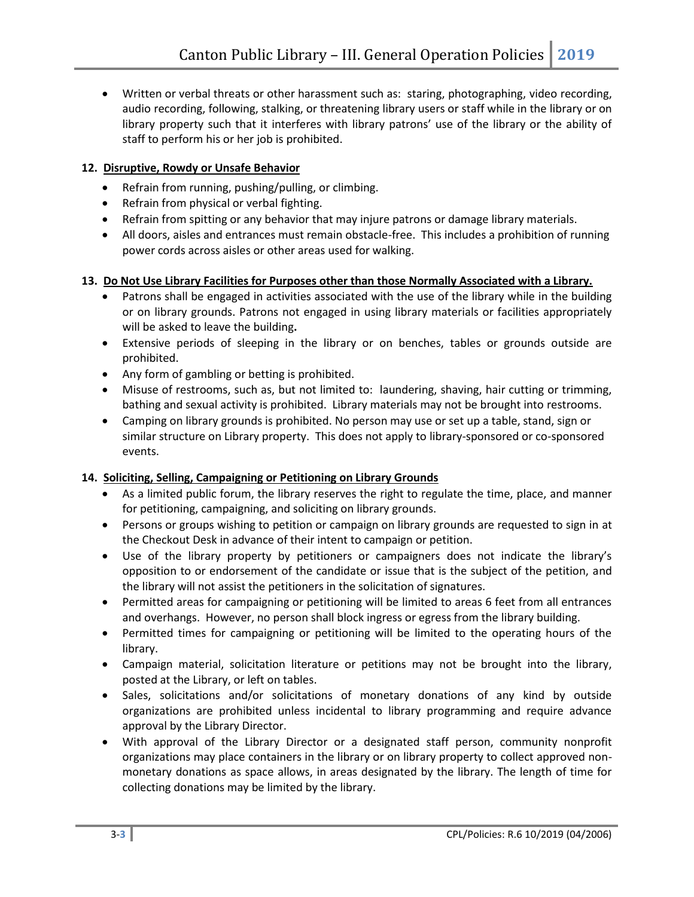• Written or verbal threats or other harassment such as: staring, photographing, video recording, audio recording, following, stalking, or threatening library users or staff while in the library or on library property such that it interferes with library patrons' use of the library or the ability of staff to perform his or her job is prohibited.

# **12. Disruptive, Rowdy or Unsafe Behavior**

- Refrain from running, pushing/pulling, or climbing.
- Refrain from physical or verbal fighting.
- Refrain from spitting or any behavior that may injure patrons or damage library materials.
- All doors, aisles and entrances must remain obstacle-free. This includes a prohibition of running power cords across aisles or other areas used for walking.

# **13. Do Not Use Library Facilities for Purposes other than those Normally Associated with a Library.**

- Patrons shall be engaged in activities associated with the use of the library while in the building or on library grounds. Patrons not engaged in using library materials or facilities appropriately will be asked to leave the building**.**
- Extensive periods of sleeping in the library or on benches, tables or grounds outside are prohibited.
- Any form of gambling or betting is prohibited.
- Misuse of restrooms, such as, but not limited to: laundering, shaving, hair cutting or trimming, bathing and sexual activity is prohibited. Library materials may not be brought into restrooms.
- Camping on library grounds is prohibited. No person may use or set up a table, stand, sign or similar structure on Library property. This does not apply to library-sponsored or co-sponsored events.

# **14. Soliciting, Selling, Campaigning or Petitioning on Library Grounds**

- As a limited public forum, the library reserves the right to regulate the time, place, and manner for petitioning, campaigning, and soliciting on library grounds.
- Persons or groups wishing to petition or campaign on library grounds are requested to sign in at the Checkout Desk in advance of their intent to campaign or petition.
- Use of the library property by petitioners or campaigners does not indicate the library's opposition to or endorsement of the candidate or issue that is the subject of the petition, and the library will not assist the petitioners in the solicitation of signatures.
- Permitted areas for campaigning or petitioning will be limited to areas 6 feet from all entrances and overhangs. However, no person shall block ingress or egress from the library building.
- Permitted times for campaigning or petitioning will be limited to the operating hours of the library.
- Campaign material, solicitation literature or petitions may not be brought into the library, posted at the Library, or left on tables.
- Sales, solicitations and/or solicitations of monetary donations of any kind by outside organizations are prohibited unless incidental to library programming and require advance approval by the Library Director.
- With approval of the Library Director or a designated staff person, community nonprofit organizations may place containers in the library or on library property to collect approved nonmonetary donations as space allows, in areas designated by the library. The length of time for collecting donations may be limited by the library.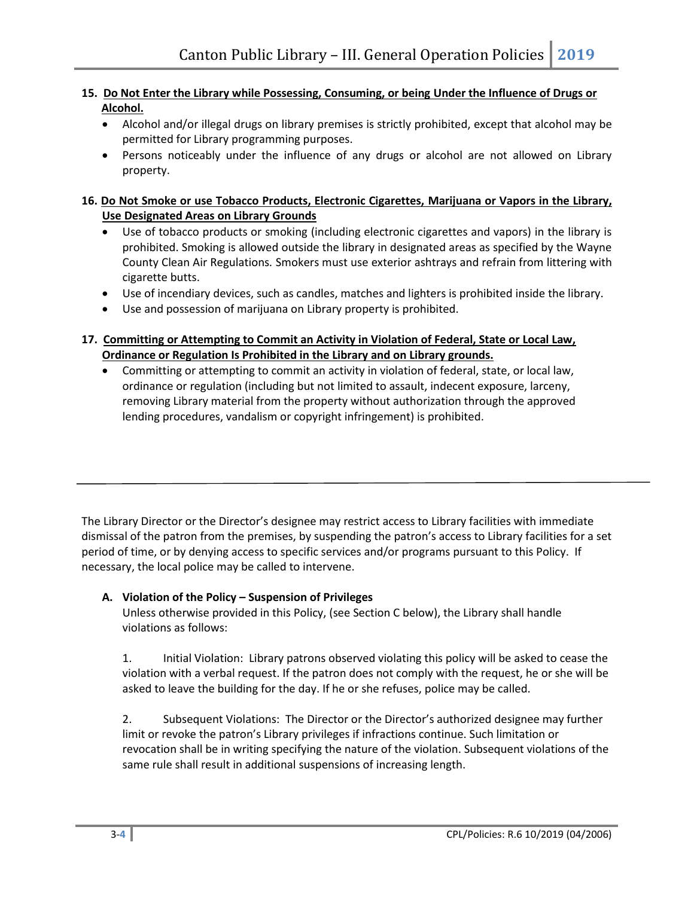# **15. Do Not Enter the Library while Possessing, Consuming, or being Under the Influence of Drugs or Alcohol.**

- Alcohol and/or illegal drugs on library premises is strictly prohibited, except that alcohol may be permitted for Library programming purposes.
- Persons noticeably under the influence of any drugs or alcohol are not allowed on Library property.

# **16. Do Not Smoke or use Tobacco Products, Electronic Cigarettes, Marijuana or Vapors in the Library, Use Designated Areas on Library Grounds**

- Use of tobacco products or smoking (including electronic cigarettes and vapors) in the library is prohibited. Smoking is allowed outside the library in designated areas as specified by the Wayne County Clean Air Regulations*.* Smokers must use exterior ashtrays and refrain from littering with cigarette butts.
- Use of incendiary devices, such as candles, matches and lighters is prohibited inside the library.
- Use and possession of marijuana on Library property is prohibited.
- **17. Committing or Attempting to Commit an Activity in Violation of Federal, State or Local Law, Ordinance or Regulation Is Prohibited in the Library and on Library grounds.**
	- Committing or attempting to commit an activity in violation of federal, state, or local law, ordinance or regulation (including but not limited to assault, indecent exposure, larceny, removing Library material from the property without authorization through the approved lending procedures, vandalism or copyright infringement) is prohibited.

The Library Director or the Director's designee may restrict access to Library facilities with immediate dismissal of the patron from the premises, by suspending the patron's access to Library facilities for a set period of time, or by denying access to specific services and/or programs pursuant to this Policy. If necessary, the local police may be called to intervene.

# **A. Violation of the Policy – Suspension of Privileges**

Unless otherwise provided in this Policy, (see Section C below), the Library shall handle violations as follows:

1. Initial Violation: Library patrons observed violating this policy will be asked to cease the violation with a verbal request. If the patron does not comply with the request, he or she will be asked to leave the building for the day. If he or she refuses, police may be called.

2. Subsequent Violations: The Director or the Director's authorized designee may further limit or revoke the patron's Library privileges if infractions continue. Such limitation or revocation shall be in writing specifying the nature of the violation. Subsequent violations of the same rule shall result in additional suspensions of increasing length.